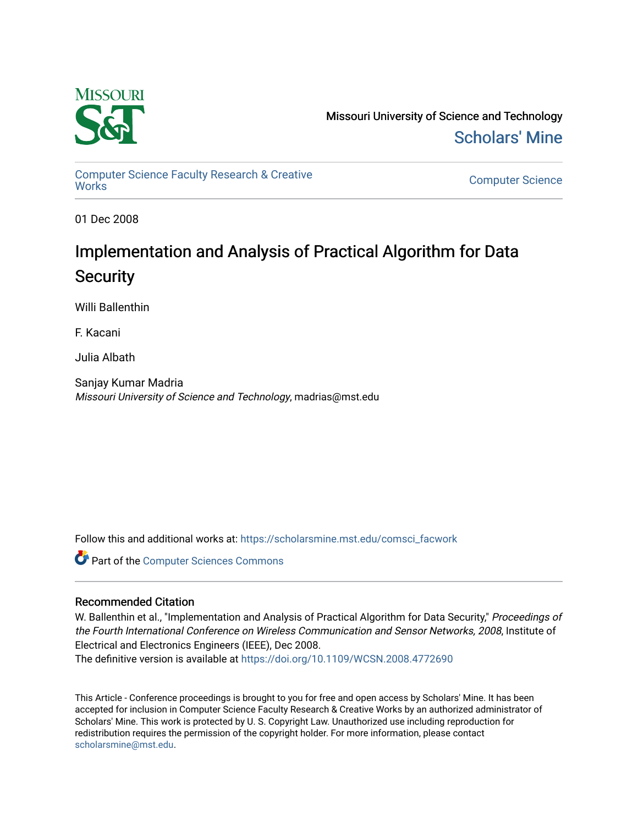

Missouri University of Science and Technology [Scholars' Mine](https://scholarsmine.mst.edu/) 

[Computer Science Faculty Research & Creative](https://scholarsmine.mst.edu/comsci_facwork) 

**Computer Science** 

01 Dec 2008

# Implementation and Analysis of Practical Algorithm for Data **Security**

Willi Ballenthin

F. Kacani

Julia Albath

Sanjay Kumar Madria Missouri University of Science and Technology, madrias@mst.edu

Follow this and additional works at: [https://scholarsmine.mst.edu/comsci\\_facwork](https://scholarsmine.mst.edu/comsci_facwork?utm_source=scholarsmine.mst.edu%2Fcomsci_facwork%2F259&utm_medium=PDF&utm_campaign=PDFCoverPages) 

**Part of the [Computer Sciences Commons](http://network.bepress.com/hgg/discipline/142?utm_source=scholarsmine.mst.edu%2Fcomsci_facwork%2F259&utm_medium=PDF&utm_campaign=PDFCoverPages)** 

# Recommended Citation

W. Ballenthin et al., "Implementation and Analysis of Practical Algorithm for Data Security," Proceedings of the Fourth International Conference on Wireless Communication and Sensor Networks, 2008, Institute of Electrical and Electronics Engineers (IEEE), Dec 2008.

The definitive version is available at <https://doi.org/10.1109/WCSN.2008.4772690>

This Article - Conference proceedings is brought to you for free and open access by Scholars' Mine. It has been accepted for inclusion in Computer Science Faculty Research & Creative Works by an authorized administrator of Scholars' Mine. This work is protected by U. S. Copyright Law. Unauthorized use including reproduction for redistribution requires the permission of the copyright holder. For more information, please contact [scholarsmine@mst.edu.](mailto:scholarsmine@mst.edu)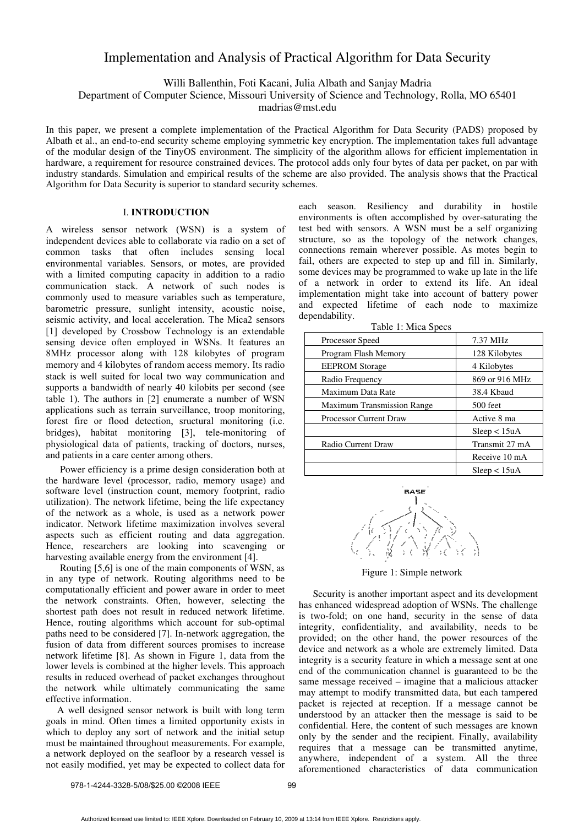# Implementation and Analysis of Practical Algorithm for Data Security

Willi Ballenthin, Foti Kacani, Julia Albath and Sanjay Madria

Department of Computer Science, Missouri University of Science and Technology, Rolla, MO 65401

madrias@mst.edu

In this paper, we present a complete implementation of the Practical Algorithm for Data Security (PADS) proposed by Albath et al., an end-to-end security scheme employing symmetric key encryption. The implementation takes full advantage of the modular design of the TinyOS environment. The simplicity of the algorithm allows for efficient implementation in hardware, a requirement for resource constrained devices. The protocol adds only four bytes of data per packet, on par with industry standards. Simulation and empirical results of the scheme are also provided. The analysis shows that the Practical Algorithm for Data Security is superior to standard security schemes.

# I. **INTRODUCTION**

A wireless sensor network (WSN) is a system of independent devices able to collaborate via radio on a set of common tasks that often includes sensing local environmental variables. Sensors, or motes, are provided with a limited computing capacity in addition to a radio communication stack. A network of such nodes is commonly used to measure variables such as temperature, barometric pressure, sunlight intensity, acoustic noise, seismic activity, and local acceleration. The Mica2 sensors [1] developed by Crossbow Technology is an extendable sensing device often employed in WSNs. It features an 8MHz processor along with 128 kilobytes of program memory and 4 kilobytes of random access memory. Its radio stack is well suited for local two way communication and supports a bandwidth of nearly 40 kilobits per second (see table 1). The authors in [2] enumerate a number of WSN applications such as terrain surveillance, troop monitoring, forest fire or flood detection, sructural monitoring (i.e. bridges), habitat monitoring [3], tele-monitoring of physiological data of patients, tracking of doctors, nurses, and patients in a care center among others.

Power efficiency is a prime design consideration both at the hardware level (processor, radio, memory usage) and software level (instruction count, memory footprint, radio utilization). The network lifetime, being the life expectancy of the network as a whole, is used as a network power indicator. Network lifetime maximization involves several aspects such as efficient routing and data aggregation. Hence, researchers are looking into scavenging or harvesting available energy from the environment [4].

Routing [5,6] is one of the main components of WSN, as in any type of network. Routing algorithms need to be computationally efficient and power aware in order to meet the network constraints. Often, however, selecting the shortest path does not result in reduced network lifetime. Hence, routing algorithms which account for sub-optimal paths need to be considered [7]. In-network aggregation, the fusion of data from different sources promises to increase network lifetime [8]. As shown in Figure 1, data from the lower levels is combined at the higher levels. This approach results in reduced overhead of packet exchanges throughout the network while ultimately communicating the same effective information.

A well designed sensor network is built with long term goals in mind. Often times a limited opportunity exists in which to deploy any sort of network and the initial setup must be maintained throughout measurements. For example, a network deployed on the seafloor by a research vessel is not easily modified, yet may be expected to collect data for each season. Resiliency and durability in hostile environments is often accomplished by over-saturating the test bed with sensors. A WSN must be a self organizing structure, so as the topology of the network changes, connections remain wherever possible. As motes begin to fail, others are expected to step up and fill in. Similarly, some devices may be programmed to wake up late in the life of a network in order to extend its life. An ideal implementation might take into account of battery power and expected lifetime of each node to maximize dependability.

Table 1: Mica Specs

| Table 1. IVIICa Specs             |                |  |
|-----------------------------------|----------------|--|
| Processor Speed                   | 7.37 MHz       |  |
| Program Flash Memory              | 128 Kilobytes  |  |
| <b>EEPROM Storage</b>             | 4 Kilobytes    |  |
| Radio Frequency                   | 869 or 916 MHz |  |
| Maximum Data Rate                 | 38.4 Kbaud     |  |
| <b>Maximum Transmission Range</b> | 500 feet       |  |
| <b>Processor Current Draw</b>     | Active 8 ma    |  |
|                                   | Sleep < 15uA   |  |
| Radio Current Draw                | Transmit 27 mA |  |
|                                   | Receive 10 mA  |  |
|                                   | Sleep < 15uA   |  |



Figure 1: Simple network

Security is another important aspect and its development has enhanced widespread adoption of WSNs. The challenge is two-fold; on one hand, security in the sense of data integrity, confidentiality, and availability, needs to be provided; on the other hand, the power resources of the device and network as a whole are extremely limited. Data integrity is a security feature in which a message sent at one end of the communication channel is guaranteed to be the same message received – imagine that a malicious attacker may attempt to modify transmitted data, but each tampered packet is rejected at reception. If a message cannot be understood by an attacker then the message is said to be confidential. Here, the content of such messages are known only by the sender and the recipient. Finally, availability requires that a message can be transmitted anytime, anywhere, independent of a system. All the three aforementioned characteristics of data communication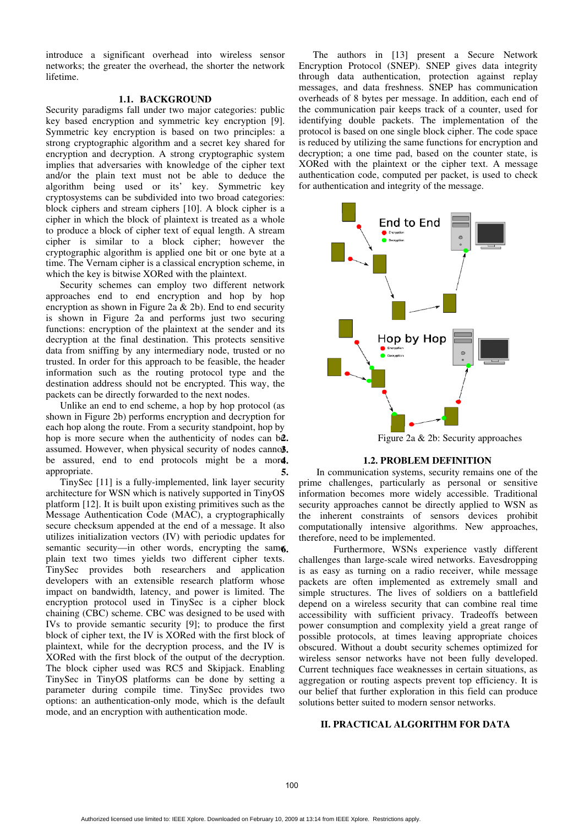introduce a significant overhead into wireless sensor networks; the greater the overhead, the shorter the network lifetime.

#### **1.1. BACKGROUND**

Security paradigms fall under two major categories: public key based encryption and symmetric key encryption [9]. Symmetric key encryption is based on two principles: a strong cryptographic algorithm and a secret key shared for encryption and decryption. A strong cryptographic system implies that adversaries with knowledge of the cipher text and/or the plain text must not be able to deduce the algorithm being used or its' key. Symmetric key cryptosystems can be subdivided into two broad categories: block ciphers and stream ciphers [10]. A block cipher is a cipher in which the block of plaintext is treated as a whole to produce a block of cipher text of equal length. A stream cipher is similar to a block cipher; however the cryptographic algorithm is applied one bit or one byte at a time. The Vernam cipher is a classical encryption scheme, in which the key is bitwise XORed with the plaintext.

Security schemes can employ two different network approaches end to end encryption and hop by hop encryption as shown in Figure 2a & 2b). End to end security is shown in Figure 2a and performs just two securing functions: encryption of the plaintext at the sender and its decryption at the final destination. This protects sensitive data from sniffing by any intermediary node, trusted or no trusted. In order for this approach to be feasible, the header information such as the routing protocol type and the destination address should not be encrypted. This way, the packets can be directly forwarded to the next nodes.

Unlike an end to end scheme, a hop by hop protocol (as shown in Figure 2b) performs encryption and decryption for each hop along the route. From a security standpoint, hop by hop is more secure when the authenticity of nodes can  $b\hat{z}$ . assumed. However, when physical security of nodes cannos. be assured, end to end protocols might be a mord. appropriate.

TinySec [11] is a fully-implemented, link layer security architecture for WSN which is natively supported in TinyOS platform [12]. It is built upon existing primitives such as the Message Authentication Code (MAC), a cryptographically secure checksum appended at the end of a message. It also utilizes initialization vectors (IV) with periodic updates for semantic security—in other words, encrypting the sams, plain text two times yields two different cipher texts. TinySec provides both researchers and application developers with an extensible research platform whose impact on bandwidth, latency, and power is limited. The encryption protocol used in TinySec is a cipher block chaining (CBC) scheme. CBC was designed to be used with IVs to provide semantic security [9]; to produce the first block of cipher text, the IV is XORed with the first block of plaintext, while for the decryption process, and the IV is XORed with the first block of the output of the decryption. The block cipher used was RC5 and Skipjack. Enabling TinySec in TinyOS platforms can be done by setting a parameter during compile time. TinySec provides two options: an authentication-only mode, which is the default mode, and an encryption with authentication mode.

The authors in [13] present a Secure Network Encryption Protocol (SNEP). SNEP gives data integrity through data authentication, protection against replay messages, and data freshness. SNEP has communication overheads of 8 bytes per message. In addition, each end of the communication pair keeps track of a counter, used for identifying double packets. The implementation of the protocol is based on one single block cipher. The code space is reduced by utilizing the same functions for encryption and decryption; a one time pad, based on the counter state, is XORed with the plaintext or the cipher text. A message authentication code, computed per packet, is used to check for authentication and integrity of the message.



**2.** Figure 2a & 2b: Security approaches

#### **4. 1.2. PROBLEM DEFINITION**

**5.** In communication systems, security remains one of the prime challenges, particularly as personal or sensitive information becomes more widely accessible. Traditional security approaches cannot be directly applied to WSN as the inherent constraints of sensors devices prohibit computationally intensive algorithms. New approaches, therefore, need to be implemented.

Furthermore, WSNs experience vastly different challenges than large-scale wired networks. Eavesdropping is as easy as turning on a radio receiver, while message packets are often implemented as extremely small and simple structures. The lives of soldiers on a battlefield depend on a wireless security that can combine real time accessibility with sufficient privacy. Tradeoffs between power consumption and complexity yield a great range of possible protocols, at times leaving appropriate choices obscured. Without a doubt security schemes optimized for wireless sensor networks have not been fully developed. Current techniques face weaknesses in certain situations, as aggregation or routing aspects prevent top efficiency. It is our belief that further exploration in this field can produce solutions better suited to modern sensor networks.

#### **II. PRACTICAL ALGORITHM FOR DATA**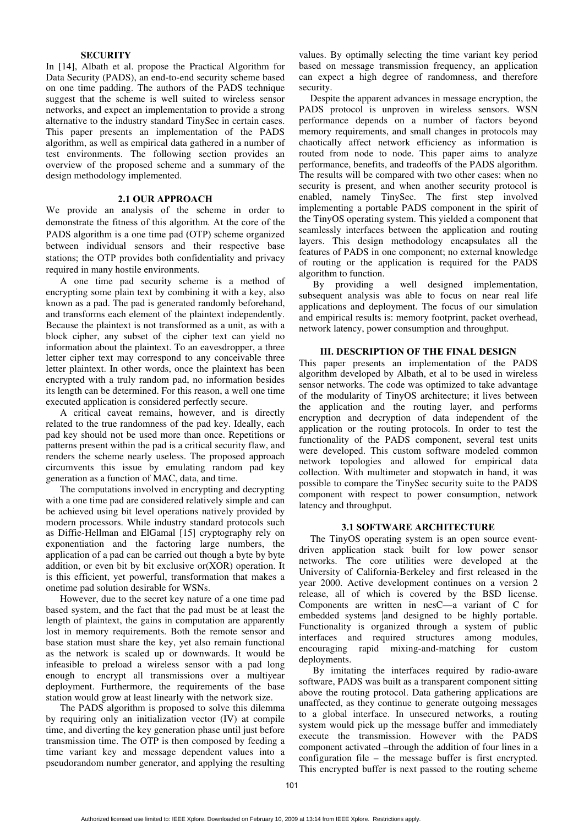# **SECURITY**

In [14], Albath et al. propose the Practical Algorithm for Data Security (PADS), an end-to-end security scheme based on one time padding. The authors of the PADS technique suggest that the scheme is well suited to wireless sensor networks, and expect an implementation to provide a strong alternative to the industry standard TinySec in certain cases. This paper presents an implementation of the PADS algorithm, as well as empirical data gathered in a number of test environments. The following section provides an overview of the proposed scheme and a summary of the design methodology implemented.

# **2.1 OUR APPROACH**

We provide an analysis of the scheme in order to demonstrate the fitness of this algorithm. At the core of the PADS algorithm is a one time pad (OTP) scheme organized between individual sensors and their respective base stations; the OTP provides both confidentiality and privacy required in many hostile environments.

A one time pad security scheme is a method of encrypting some plain text by combining it with a key, also known as a pad. The pad is generated randomly beforehand, and transforms each element of the plaintext independently. Because the plaintext is not transformed as a unit, as with a block cipher, any subset of the cipher text can yield no information about the plaintext. To an eavesdropper, a three letter cipher text may correspond to any conceivable three letter plaintext. In other words, once the plaintext has been encrypted with a truly random pad, no information besides its length can be determined. For this reason, a well one time executed application is considered perfectly secure.

A critical caveat remains, however, and is directly related to the true randomness of the pad key. Ideally, each pad key should not be used more than once. Repetitions or patterns present within the pad is a critical security flaw, and renders the scheme nearly useless. The proposed approach circumvents this issue by emulating random pad key generation as a function of MAC, data, and time.

The computations involved in encrypting and decrypting with a one time pad are considered relatively simple and can be achieved using bit level operations natively provided by modern processors. While industry standard protocols such as Diffie-Hellman and ElGamal [15] cryptography rely on exponentiation and the factoring large numbers, the application of a pad can be carried out though a byte by byte addition, or even bit by bit exclusive or(XOR) operation. It is this efficient, yet powerful, transformation that makes a onetime pad solution desirable for WSNs.

However, due to the secret key nature of a one time pad based system, and the fact that the pad must be at least the length of plaintext, the gains in computation are apparently lost in memory requirements. Both the remote sensor and base station must share the key, yet also remain functional as the network is scaled up or downwards. It would be infeasible to preload a wireless sensor with a pad long enough to encrypt all transmissions over a multiyear deployment. Furthermore, the requirements of the base station would grow at least linearly with the network size.

The PADS algorithm is proposed to solve this dilemma by requiring only an initialization vector (IV) at compile time, and diverting the key generation phase until just before transmission time. The OTP is then composed by feeding a time variant key and message dependent values into a pseudorandom number generator, and applying the resulting

values. By optimally selecting the time variant key period based on message transmission frequency, an application can expect a high degree of randomness, and therefore security.

Despite the apparent advances in message encryption, the PADS protocol is unproven in wireless sensors. WSN performance depends on a number of factors beyond memory requirements, and small changes in protocols may chaotically affect network efficiency as information is routed from node to node. This paper aims to analyze performance, benefits, and tradeoffs of the PADS algorithm. The results will be compared with two other cases: when no security is present, and when another security protocol is enabled, namely TinySec. The first step involved implementing a portable PADS component in the spirit of the TinyOS operating system. This yielded a component that seamlessly interfaces between the application and routing layers. This design methodology encapsulates all the features of PADS in one component; no external knowledge of routing or the application is required for the PADS algorithm to function.

By providing a well designed implementation, subsequent analysis was able to focus on near real life applications and deployment. The focus of our simulation and empirical results is: memory footprint, packet overhead, network latency, power consumption and throughput.

#### **III. DESCRIPTION OF THE FINAL DESIGN**

This paper presents an implementation of the PADS algorithm developed by Albath, et al to be used in wireless sensor networks. The code was optimized to take advantage of the modularity of TinyOS architecture; it lives between the application and the routing layer, and performs encryption and decryption of data independent of the application or the routing protocols. In order to test the functionality of the PADS component, several test units were developed. This custom software modeled common network topologies and allowed for empirical data collection. With multimeter and stopwatch in hand, it was possible to compare the TinySec security suite to the PADS component with respect to power consumption, network latency and throughput.

#### **3.1 SOFTWARE ARCHITECTURE**

The TinyOS operating system is an open source eventdriven application stack built for low power sensor networks. The core utilities were developed at the University of California-Berkeley and first released in the year 2000. Active development continues on a version 2 release, all of which is covered by the BSD license. Components are written in nesC—a variant of C for embedded systems |and designed to be highly portable. Functionality is organized through a system of public interfaces and required structures among modules, encouraging rapid mixing-and-matching for custom deployments.

By imitating the interfaces required by radio-aware software, PADS was built as a transparent component sitting above the routing protocol. Data gathering applications are unaffected, as they continue to generate outgoing messages to a global interface. In unsecured networks, a routing system would pick up the message buffer and immediately execute the transmission. However with the PADS component activated –through the addition of four lines in a configuration file – the message buffer is first encrypted. This encrypted buffer is next passed to the routing scheme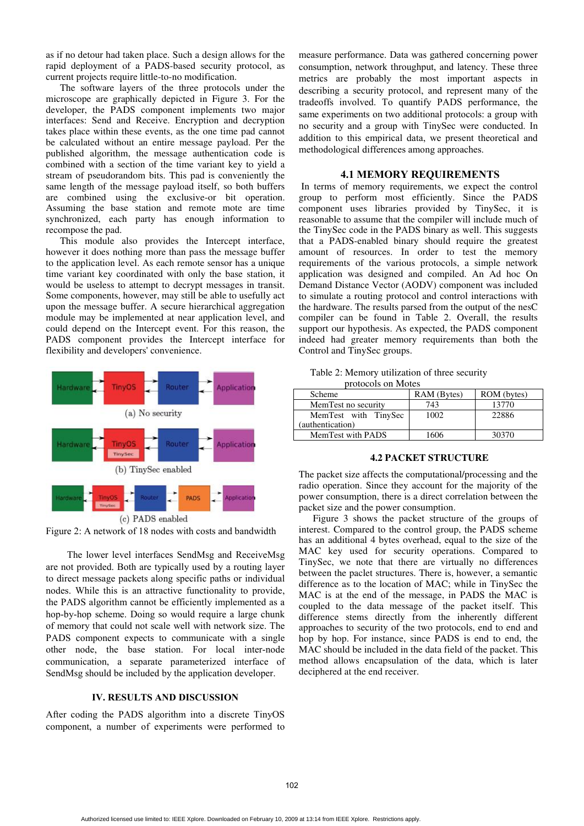as if no detour had taken place. Such a design allows for the rapid deployment of a PADS-based security protocol, as current projects require little-to-no modification.

The software layers of the three protocols under the microscope are graphically depicted in Figure 3. For the developer, the PADS component implements two major interfaces: Send and Receive. Encryption and decryption takes place within these events, as the one time pad cannot be calculated without an entire message payload. Per the published algorithm, the message authentication code is combined with a section of the time variant key to yield a stream of pseudorandom bits. This pad is conveniently the same length of the message payload itself, so both buffers are combined using the exclusive-or bit operation. Assuming the base station and remote mote are time synchronized, each party has enough information to recompose the pad.

This module also provides the Intercept interface, however it does nothing more than pass the message buffer to the application level. As each remote sensor has a unique time variant key coordinated with only the base station, it would be useless to attempt to decrypt messages in transit. Some components, however, may still be able to usefully act upon the message buffer. A secure hierarchical aggregation module may be implemented at near application level, and could depend on the Intercept event. For this reason, the PADS component provides the Intercept interface for flexibility and developers' convenience.



(c) PADS enabled

Figure 2: A network of 18 nodes with costs and bandwidth

The lower level interfaces SendMsg and ReceiveMsg are not provided. Both are typically used by a routing layer to direct message packets along specific paths or individual nodes. While this is an attractive functionality to provide, the PADS algorithm cannot be efficiently implemented as a hop-by-hop scheme. Doing so would require a large chunk of memory that could not scale well with network size. The PADS component expects to communicate with a single other node, the base station. For local inter-node communication, a separate parameterized interface of SendMsg should be included by the application developer.

# **IV. RESULTS AND DISCUSSION**

After coding the PADS algorithm into a discrete TinyOS component, a number of experiments were performed to

measure performance. Data was gathered concerning power consumption, network throughput, and latency. These three metrics are probably the most important aspects in describing a security protocol, and represent many of the tradeoffs involved. To quantify PADS performance, the same experiments on two additional protocols: a group with no security and a group with TinySec were conducted. In addition to this empirical data, we present theoretical and methodological differences among approaches.

#### **4.1 MEMORY REQUIREMENTS**

 In terms of memory requirements, we expect the control group to perform most efficiently. Since the PADS component uses libraries provided by TinySec, it is reasonable to assume that the compiler will include much of the TinySec code in the PADS binary as well. This suggests that a PADS-enabled binary should require the greatest amount of resources. In order to test the memory requirements of the various protocols, a simple network application was designed and compiled. An Ad hoc On Demand Distance Vector (AODV) component was included to simulate a routing protocol and control interactions with the hardware. The results parsed from the output of the nesC compiler can be found in Table 2. Overall, the results support our hypothesis. As expected, the PADS component indeed had greater memory requirements than both the Control and TinySec groups.

Table 2: Memory utilization of three security protocols on Motes

| Scheme               | RAM (Bytes) | ROM (bytes) |
|----------------------|-------------|-------------|
| MemTest no security  | 743         | 13770       |
| MemTest with TinySec | 1002        | 22886       |
| (authentication)     |             |             |
| MemTest with PADS    | 1606        | 30370       |

#### **4.2 PACKET STRUCTURE**

The packet size affects the computational/processing and the radio operation. Since they account for the majority of the power consumption, there is a direct correlation between the packet size and the power consumption.

Figure 3 shows the packet structure of the groups of interest. Compared to the control group, the PADS scheme has an additional 4 bytes overhead, equal to the size of the MAC key used for security operations. Compared to TinySec, we note that there are virtually no differences between the paclet structures. There is, however, a semantic difference as to the location of MAC; while in TinySec the MAC is at the end of the message, in PADS the MAC is coupled to the data message of the packet itself. This difference stems directly from the inherently different approaches to security of the two protocols, end to end and hop by hop. For instance, since PADS is end to end, the MAC should be included in the data field of the packet. This method allows encapsulation of the data, which is later deciphered at the end receiver.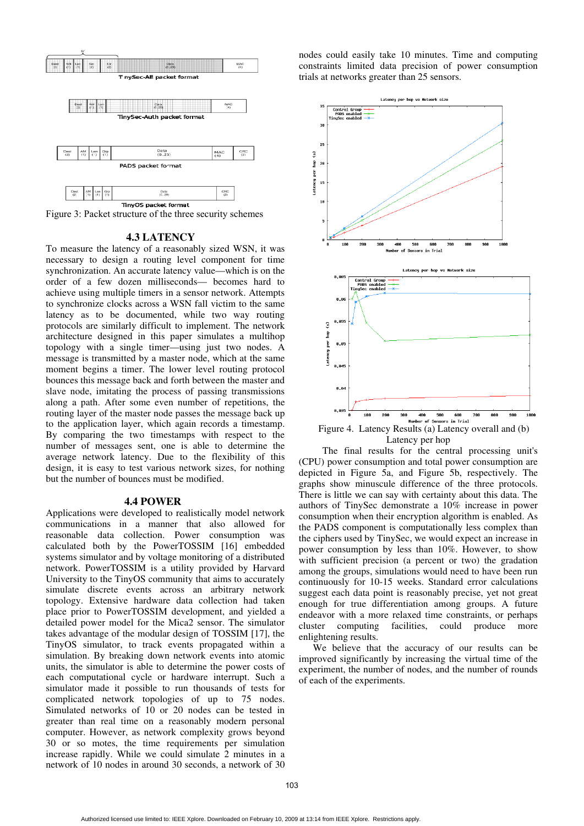

Figure 3: Packet structure of the three security schemes

#### **4.3 LATENCY**

To measure the latency of a reasonably sized WSN, it was necessary to design a routing level component for time synchronization. An accurate latency value—which is on the order of a few dozen milliseconds— becomes hard to achieve using multiple timers in a sensor network. Attempts to synchronize clocks across a WSN fall victim to the same latency as to be documented, while two way routing protocols are similarly difficult to implement. The network architecture designed in this paper simulates a multihop topology with a single timer—using just two nodes. A message is transmitted by a master node, which at the same moment begins a timer. The lower level routing protocol bounces this message back and forth between the master and slave node, imitating the process of passing transmissions along a path. After some even number of repetitions, the routing layer of the master node passes the message back up to the application layer, which again records a timestamp. By comparing the two timestamps with respect to the number of messages sent, one is able to determine the average network latency. Due to the flexibility of this design, it is easy to test various network sizes, for nothing but the number of bounces must be modified.

#### **4.4 POWER**

Applications were developed to realistically model network communications in a manner that also allowed for reasonable data collection. Power consumption was calculated both by the PowerTOSSIM [16] embedded systems simulator and by voltage monitoring of a distributed network. PowerTOSSIM is a utility provided by Harvard University to the TinyOS community that aims to accurately simulate discrete events across an arbitrary network topology. Extensive hardware data collection had taken place prior to PowerTOSSIM development, and yielded a detailed power model for the Mica2 sensor. The simulator takes advantage of the modular design of TOSSIM [17], the TinyOS simulator, to track events propagated within a simulation. By breaking down network events into atomic units, the simulator is able to determine the power costs of each computational cycle or hardware interrupt. Such a simulator made it possible to run thousands of tests for complicated network topologies of up to 75 nodes. Simulated networks of 10 or 20 nodes can be tested in greater than real time on a reasonably modern personal computer. However, as network complexity grows beyond 30 or so motes, the time requirements per simulation increase rapidly. While we could simulate 2 minutes in a network of 10 nodes in around 30 seconds, a network of 30

nodes could easily take 10 minutes. Time and computing constraints limited data precision of power consumption trials at networks greater than 25 sensors.



 The final results for the central processing unit's (CPU) power consumption and total power consumption are depicted in Figure 5a, and Figure 5b, respectively. The graphs show minuscule difference of the three protocols. There is little we can say with certainty about this data. The authors of TinySec demonstrate a 10% increase in power consumption when their encryption algorithm is enabled. As the PADS component is computationally less complex than the ciphers used by TinySec, we would expect an increase in power consumption by less than 10%. However, to show with sufficient precision (a percent or two) the gradation among the groups, simulations would need to have been run continuously for 10-15 weeks. Standard error calculations suggest each data point is reasonably precise, yet not great enough for true differentiation among groups. A future endeavor with a more relaxed time constraints, or perhaps cluster computing facilities, could produce more enlightening results.

We believe that the accuracy of our results can be improved significantly by increasing the virtual time of the experiment, the number of nodes, and the number of rounds of each of the experiments.